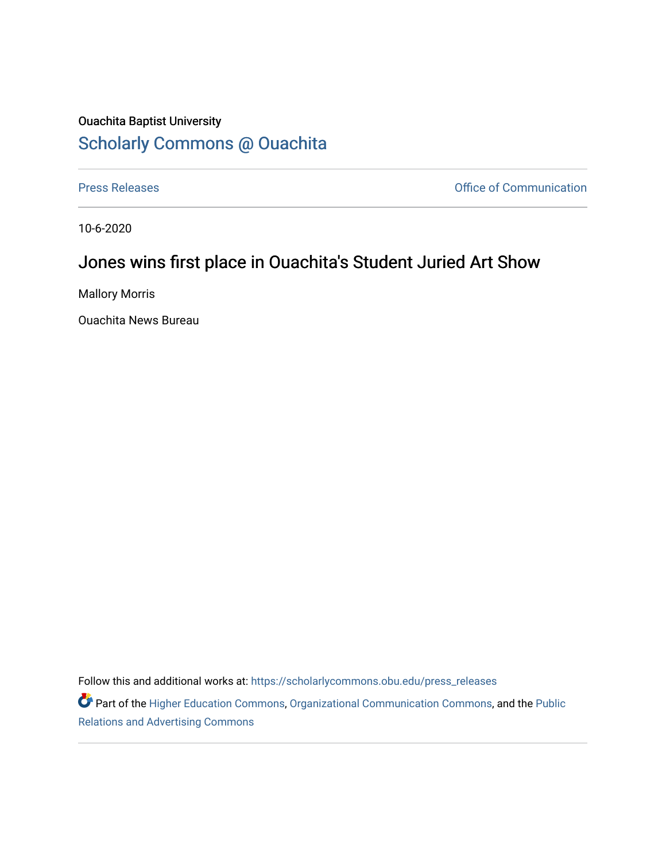## Ouachita Baptist University [Scholarly Commons @ Ouachita](https://scholarlycommons.obu.edu/)

[Press Releases](https://scholarlycommons.obu.edu/press_releases) **Press Releases Communication** 

10-6-2020

## Jones wins first place in Ouachita's Student Juried Art Show

Mallory Morris

Ouachita News Bureau

Follow this and additional works at: [https://scholarlycommons.obu.edu/press\\_releases](https://scholarlycommons.obu.edu/press_releases?utm_source=scholarlycommons.obu.edu%2Fpress_releases%2F744&utm_medium=PDF&utm_campaign=PDFCoverPages)

Part of the [Higher Education Commons,](http://network.bepress.com/hgg/discipline/1245?utm_source=scholarlycommons.obu.edu%2Fpress_releases%2F744&utm_medium=PDF&utm_campaign=PDFCoverPages) [Organizational Communication Commons,](http://network.bepress.com/hgg/discipline/335?utm_source=scholarlycommons.obu.edu%2Fpress_releases%2F744&utm_medium=PDF&utm_campaign=PDFCoverPages) and the [Public](http://network.bepress.com/hgg/discipline/336?utm_source=scholarlycommons.obu.edu%2Fpress_releases%2F744&utm_medium=PDF&utm_campaign=PDFCoverPages) [Relations and Advertising Commons](http://network.bepress.com/hgg/discipline/336?utm_source=scholarlycommons.obu.edu%2Fpress_releases%2F744&utm_medium=PDF&utm_campaign=PDFCoverPages)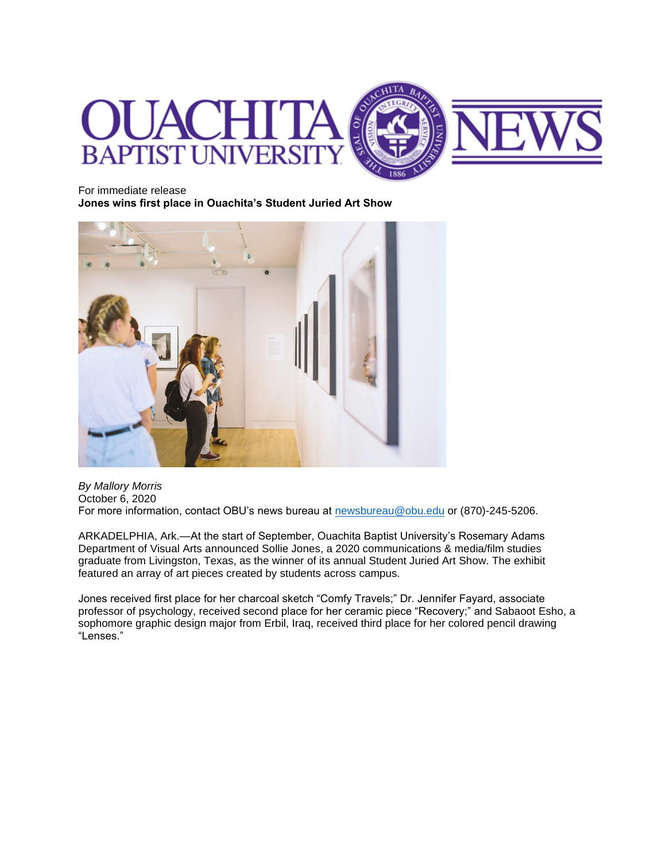

For immediate release

**Jones wins first place in Ouachita's Student Juried Art Show**



*By Mallory Morris* October 6, 2020 For more information, contact OBU's news bureau at [newsbureau@obu.edu](mailto:newsbureau@obu.edu) or (870)-245-5206.

ARKADELPHIA, Ark.—At the start of September, Ouachita Baptist University's Rosemary Adams Department of Visual Arts announced Sollie Jones, a 2020 communications & media/film studies graduate from Livingston, Texas, as the winner of its annual Student Juried Art Show. The exhibit featured an array of art pieces created by students across campus.

Jones received first place for her charcoal sketch "Comfy Travels;" Dr. Jennifer Fayard, associate professor of psychology, received second place for her ceramic piece "Recovery;" and Sabaoot Esho, a sophomore graphic design major from Erbil, Iraq, received third place for her colored pencil drawing "Lenses."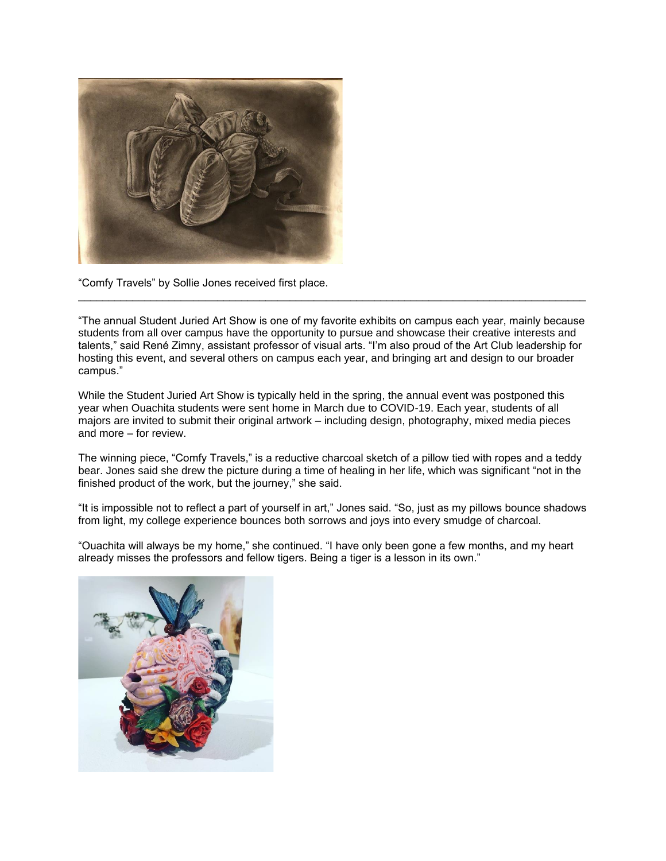

"Comfy Travels" by Sollie Jones received first place.

"The annual Student Juried Art Show is one of my favorite exhibits on campus each year, mainly because students from all over campus have the opportunity to pursue and showcase their creative interests and talents," said René Zimny, assistant professor of visual arts. "I'm also proud of the Art Club leadership for hosting this event, and several others on campus each year, and bringing art and design to our broader campus."

\_\_\_\_\_\_\_\_\_\_\_\_\_\_\_\_\_\_\_\_\_\_\_\_\_\_\_\_\_\_\_\_\_\_\_\_\_\_\_\_\_\_\_\_\_\_\_\_\_\_\_\_\_\_\_\_\_\_\_\_\_\_\_\_\_\_\_\_\_\_\_\_\_\_\_\_\_\_\_\_\_\_\_\_

While the Student Juried Art Show is typically held in the spring, the annual event was postponed this year when Ouachita students were sent home in March due to COVID-19. Each year, students of all majors are invited to submit their original artwork – including design, photography, mixed media pieces and more – for review.

The winning piece, "Comfy Travels," is a reductive charcoal sketch of a pillow tied with ropes and a teddy bear. Jones said she drew the picture during a time of healing in her life, which was significant "not in the finished product of the work, but the journey," she said.

"It is impossible not to reflect a part of yourself in art," Jones said. "So, just as my pillows bounce shadows from light, my college experience bounces both sorrows and joys into every smudge of charcoal.

"Ouachita will always be my home," she continued. "I have only been gone a few months, and my heart already misses the professors and fellow tigers. Being a tiger is a lesson in its own."

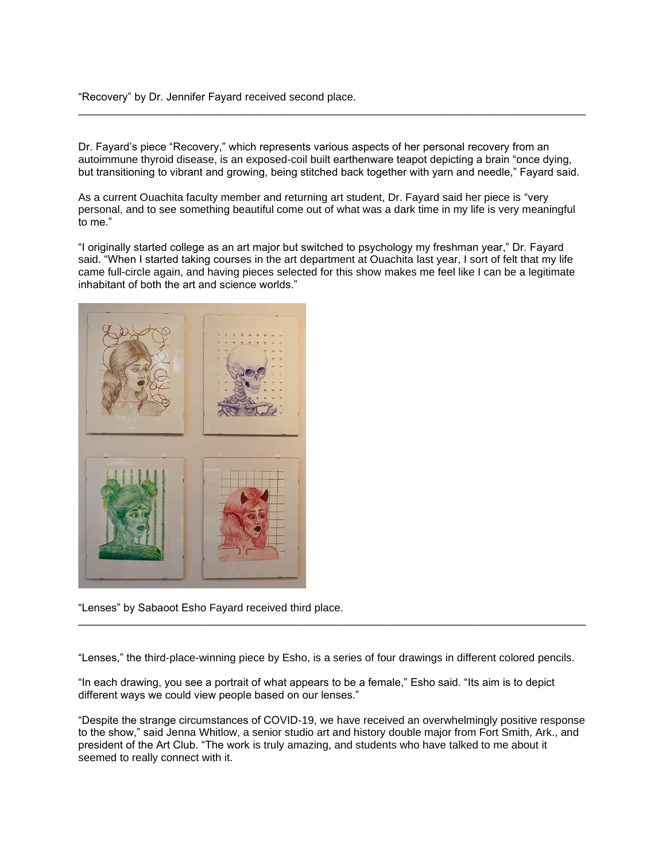"Recovery" by Dr. Jennifer Fayard received second place.

Dr. Fayard's piece "Recovery," which represents various aspects of her personal recovery from an autoimmune thyroid disease, is an exposed-coil built earthenware teapot depicting a brain "once dying, but transitioning to vibrant and growing, being stitched back together with yarn and needle," Fayard said.

\_\_\_\_\_\_\_\_\_\_\_\_\_\_\_\_\_\_\_\_\_\_\_\_\_\_\_\_\_\_\_\_\_\_\_\_\_\_\_\_\_\_\_\_\_\_\_\_\_\_\_\_\_\_\_\_\_\_\_\_\_\_\_\_\_\_\_\_\_\_\_\_\_\_\_\_\_\_\_\_\_\_\_\_

As a current Ouachita faculty member and returning art student, Dr. Fayard said her piece is "very personal, and to see something beautiful come out of what was a dark time in my life is very meaningful to me."

"I originally started college as an art major but switched to psychology my freshman year," Dr. Fayard said. "When I started taking courses in the art department at Ouachita last year, I sort of felt that my life came full-circle again, and having pieces selected for this show makes me feel like I can be a legitimate inhabitant of both the art and science worlds."



"Lenses" by Sabaoot Esho Fayard received third place.

"Lenses," the third-place-winning piece by Esho, is a series of four drawings in different colored pencils.

\_\_\_\_\_\_\_\_\_\_\_\_\_\_\_\_\_\_\_\_\_\_\_\_\_\_\_\_\_\_\_\_\_\_\_\_\_\_\_\_\_\_\_\_\_\_\_\_\_\_\_\_\_\_\_\_\_\_\_\_\_\_\_\_\_\_\_\_\_\_\_\_\_\_\_\_\_\_\_\_\_\_\_\_

"In each drawing, you see a portrait of what appears to be a female," Esho said. "Its aim is to depict different ways we could view people based on our lenses."

"Despite the strange circumstances of COVID-19, we have received an overwhelmingly positive response to the show," said Jenna Whitlow, a senior studio art and history double major from Fort Smith, Ark., and president of the Art Club. "The work is truly amazing, and students who have talked to me about it seemed to really connect with it.